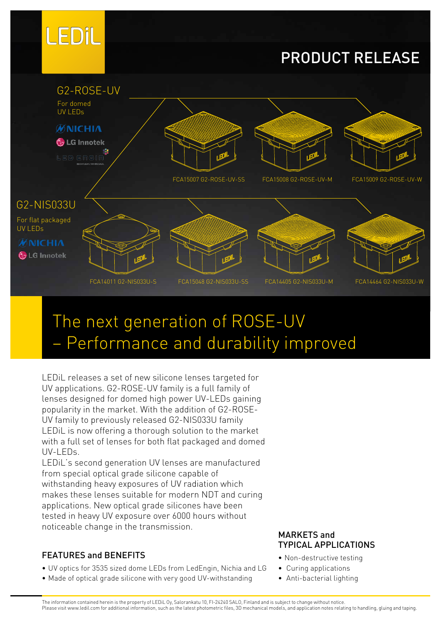

## PRODUCT RELEASE



# The next generation of ROSE-UV – Performance and durability improved

LEDiL releases a set of new silicone lenses targeted for UV applications. G2-ROSE-UV family is a full family of lenses designed for domed high power UV-LEDs gaining popularity in the market. With the addition of G2-ROSE-UV family to previously released G2-NIS033U family LEDiL is now offering a thorough solution to the market with a full set of lenses for both flat packaged and domed UV-LEDs.

LEDiL's second generation UV lenses are manufactured from special optical grade silicone capable of withstanding heavy exposures of UV radiation which makes these lenses suitable for modern NDT and curing applications. New optical grade silicones have been tested in heavy UV exposure over 6000 hours without noticeable change in the transmission. MARKETS and

### FEATURES and BENEFITS

- UV optics for 3535 sized dome LEDs from LedEngin, Nichia and LG
- Made of optical grade silicone with very good UV-withstanding

## TYPICAL APPLICATIONS

- Non-destructive testing
- Curing applications
- Anti-bacterial lighting

The information contained herein is the property of LEDiL Oy, Salorankatu 10, FI-24240 SALO, Finland and is subject to change without notice. Please visit www.ledil.com for additional information, such as the latest photometric files, 3D mechanical models, and application notes relating to handling, gluing and taping.